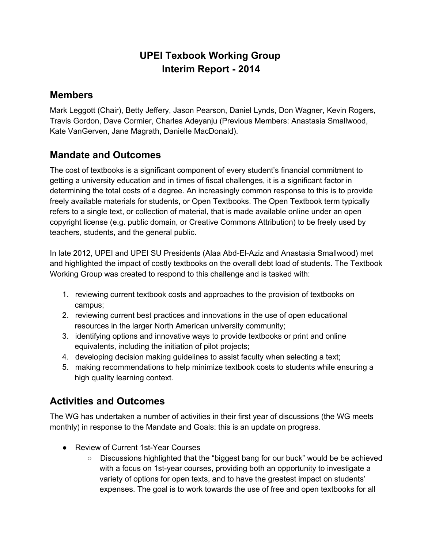# **UPEI Texbook Working Group Interim Report 2014**

#### **Members**

Mark Leggott (Chair), Betty Jeffery, Jason Pearson, Daniel Lynds, Don Wagner, Kevin Rogers, Travis Gordon, Dave Cormier, Charles Adeyanju (Previous Members: Anastasia Smallwood, Kate VanGerven, Jane Magrath, Danielle MacDonald).

### **Mandate and Outcomes**

The cost of textbooks is a significant component of every student's financial commitment to getting a university education and in times of fiscal challenges, it is a significant factor in determining the total costs of a degree. An increasingly common response to this is to provide freely available materials for students, or Open Textbooks. The Open Textbook term typically refers to a single text, or collection of material, that is made available online under an open copyright license (e.g. public domain, or Creative Commons Attribution) to be freely used by teachers, students, and the general public.

In late 2012, UPEI and UPEI SU Presidents (Alaa Abd-EI-Aziz and Anastasia Smallwood) met and highlighted the impact of costly textbooks on the overall debt load of students. The Textbook Working Group was created to respond to this challenge and is tasked with:

- 1. reviewing current textbook costs and approaches to the provision of textbooks on campus;
- 2. reviewing current best practices and innovations in the use of open educational resources in the larger North American university community;
- 3. identifying options and innovative ways to provide textbooks or print and online equivalents, including the initiation of pilot projects;
- 4. developing decision making guidelines to assist faculty when selecting a text;
- 5. making recommendations to help minimize textbook costs to students while ensuring a high quality learning context.

## **Activities and Outcomes**

The WG has undertaken a number of activities in their first year of discussions (the WG meets monthly) in response to the Mandate and Goals: this is an update on progress.

- Review of Current 1st-Year Courses
	- Discussions highlighted that the "biggest bang for our buck" would be be achieved with a focus on 1st-year courses, providing both an opportunity to investigate a variety of options for open texts, and to have the greatest impact on students' expenses. The goal is to work towards the use of free and open textbooks for all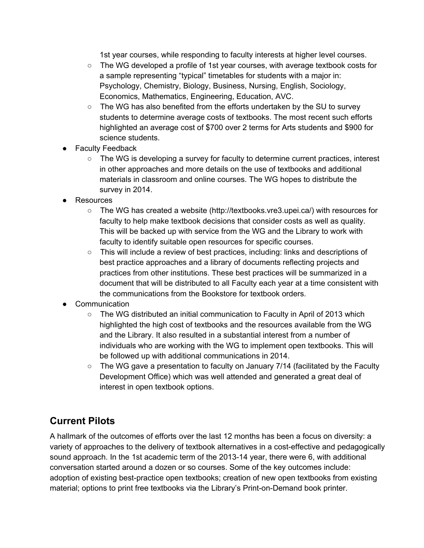1st year courses, while responding to faculty interests at higher level courses.

- The WG developed a profile of 1st year courses, with average textbook costs for a sample representing "typical" timetables for students with a major in: Psychology, Chemistry, Biology, Business, Nursing, English, Sociology, Economics, Mathematics, Engineering, Education, AVC.
- $\circ$  The WG has also benefited from the efforts undertaken by the SU to survey students to determine average costs of textbooks. The most recent such efforts highlighted an average cost of \$700 over 2 terms for Arts students and \$900 for science students.
- **Faculty Feedback** 
	- The WG is developing a survey for faculty to determine current practices, interest in other approaches and more details on the use of textbooks and additional materials in classroom and online courses. The WG hopes to distribute the survey in 2014.
- Resources
	- The WG has created a website (http://textbooks.vre3.upei.ca/) with resources for faculty to help make textbook decisions that consider costs as well as quality. This will be backed up with service from the WG and the Library to work with faculty to identify suitable open resources for specific courses.
	- This will include a review of best practices, including: links and descriptions of best practice approaches and a library of documents reflecting projects and practices from other institutions. These best practices will be summarized in a document that will be distributed to all Faculty each year at a time consistent with the communications from the Bookstore for textbook orders.
- **Communication** 
	- $\circ$  The WG distributed an initial communication to Faculty in April of 2013 which highlighted the high cost of textbooks and the resources available from the WG and the Library. It also resulted in a substantial interest from a number of individuals who are working with the WG to implement open textbooks. This will be followed up with additional communications in 2014.
	- $\circ$  The WG gave a presentation to faculty on January 7/14 (facilitated by the Faculty Development Office) which was well attended and generated a great deal of interest in open textbook options.

### **Current Pilots**

A hallmark of the outcomes of efforts over the last 12 months has been a focus on diversity: a variety of approaches to the delivery of textbook alternatives in a cost-effective and pedagogically sound approach. In the 1st academic term of the 2013-14 year, there were 6, with additional conversation started around a dozen or so courses. Some of the key outcomes include: adoption of existing best-practice open textbooks; creation of new open textbooks from existing material; options to print free textbooks via the Library's Print-on-Demand book printer.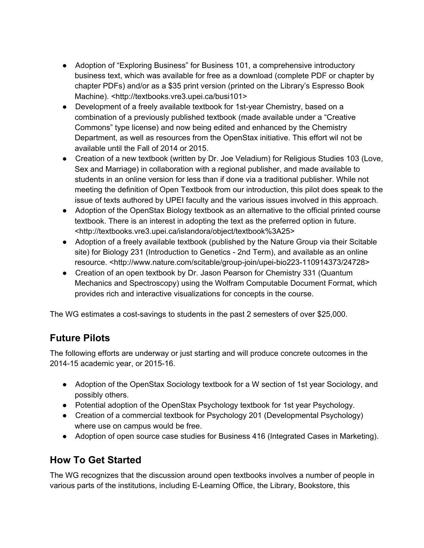- Adoption of "Exploring Business" for Business 101, a comprehensive introductory business text, which was available for free as a download (complete PDF or chapter by chapter PDFs) and/or as a \$35 print version (printed on the Library's Espresso Book Machine). <http://textbooks.vre3.upei.ca/busi101>
- Development of a freely available textbook for 1st-year Chemistry, based on a combination of a previously published textbook (made available under a "Creative Commons" type license) and now being edited and enhanced by the Chemistry Department, as well as resources from the OpenStax initiative. This effort wil not be available until the Fall of 2014 or 2015.
- Creation of a new textbook (written by Dr. Joe Veladium) for Religious Studies 103 (Love, Sex and Marriage) in collaboration with a regional publisher, and made available to students in an online version for less than if done via a traditional publisher. While not meeting the definition of Open Textbook from our introduction, this pilot does speak to the issue of texts authored by UPEI faculty and the various issues involved in this approach.
- Adoption of the OpenStax Biology textbook as an alternative to the official printed course textbook. There is an interest in adopting the text as the preferred option in future. <http://textbooks.vre3.upei.ca/islandora/object/textbook%3A25>
- Adoption of a freely available textbook (published by the Nature Group via their Scitable site) for Biology 231 (Introduction to Genetics - 2nd Term), and available as an online resource. <http://www.nature.com/scitable/group-join/upei-bio223-110914373/24728>
- Creation of an open textbook by Dr. Jason Pearson for Chemistry 331 (Quantum Mechanics and Spectroscopy) using the Wolfram Computable Document Format, which provides rich and interactive visualizations for concepts in the course.

The WG estimates a cost-savings to students in the past 2 semesters of over \$25,000.

## **Future Pilots**

The following efforts are underway or just starting and will produce concrete outcomes in the 2014-15 academic year, or 2015-16.

- Adoption of the OpenStax Sociology textbook for a W section of 1st year Sociology, and possibly others.
- Potential adoption of the OpenStax Psychology textbook for 1st year Psychology.
- Creation of a commercial textbook for Psychology 201 (Developmental Psychology) where use on campus would be free.
- Adoption of open source case studies for Business 416 (Integrated Cases in Marketing).

## **How To Get Started**

The WG recognizes that the discussion around open textbooks involves a number of people in various parts of the institutions, including E-Learning Office, the Library, Bookstore, this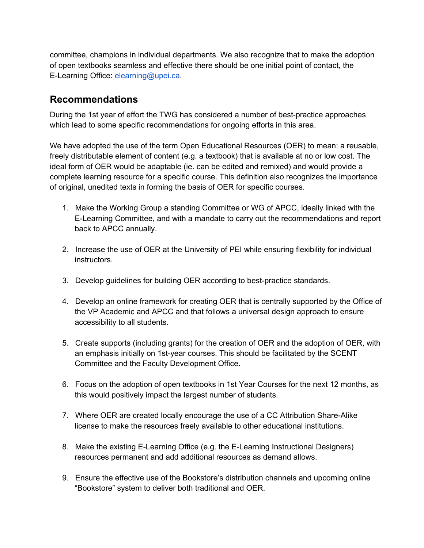committee, champions in individual departments. We also recognize that to make the adoption of open textbooks seamless and effective there should be one initial point of contact, the E-Learning Office: [elearning@upei.ca.](mailto:elearning@upei.ca)

#### **Recommendations**

During the 1st year of effort the TWG has considered a number of best-practice approaches which lead to some specific recommendations for ongoing efforts in this area.

We have adopted the use of the term Open Educational Resources (OER) to mean: a reusable, freely distributable element of content (e.g. a textbook) that is available at no or low cost. The ideal form of OER would be adaptable (ie. can be edited and remixed) and would provide a complete learning resource for a specific course. This definition also recognizes the importance of original, unedited texts in forming the basis of OER for specific courses.

- 1. Make the Working Group a standing Committee or WG of APCC, ideally linked with the ELearning Committee, and with a mandate to carry out the recommendations and report back to APCC annually.
- 2. Increase the use of OER at the University of PEI while ensuring flexibility for individual instructors.
- 3. Develop guidelines for building OER according to best-practice standards.
- 4. Develop an online framework for creating OER that is centrally supported by the Office of the VP Academic and APCC and that follows a universal design approach to ensure accessibility to all students.
- 5. Create supports (including grants) for the creation of OER and the adoption of OER, with an emphasis initially on 1st-year courses. This should be facilitated by the SCENT Committee and the Faculty Development Office.
- 6. Focus on the adoption of open textbooks in 1st Year Courses for the next 12 months, as this would positively impact the largest number of students.
- 7. Where OER are created locally encourage the use of a CC Attribution Share-Alike license to make the resources freely available to other educational institutions.
- 8. Make the existing E-Learning Office (e.g. the E-Learning Instructional Designers) resources permanent and add additional resources as demand allows.
- 9. Ensure the effective use of the Bookstore's distribution channels and upcoming online "Bookstore" system to deliver both traditional and OER.